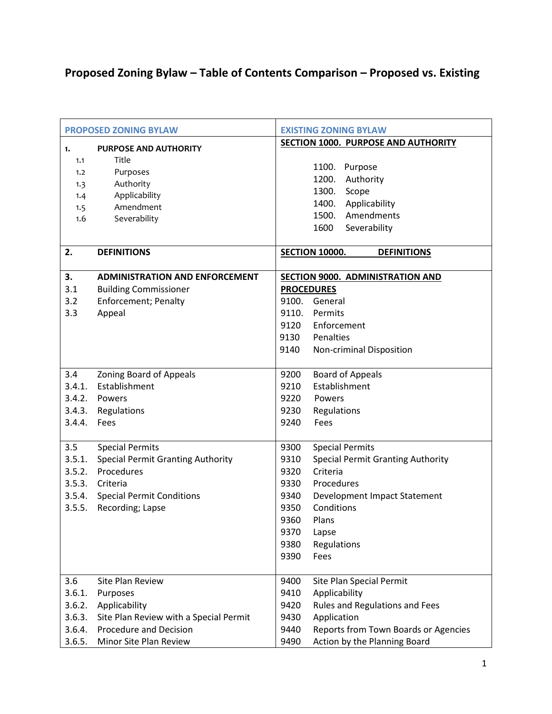## **Proposed Zoning Bylaw – Table of Contents Comparison – Proposed vs. Existing**

|        | <b>PROPOSED ZONING BYLAW</b>             | <b>EXISTING ZONING BYLAW</b>                     |
|--------|------------------------------------------|--------------------------------------------------|
| 1.     | <b>PURPOSE AND AUTHORITY</b>             | SECTION 1000. PURPOSE AND AUTHORITY              |
| 1.1    | Title                                    |                                                  |
| 1.2    | Purposes                                 | 1100. Purpose                                    |
| 1.3    | Authority                                | 1200.<br>Authority                               |
| 1.4    | Applicability                            | 1300.<br>Scope                                   |
| 1.5    | Amendment                                | 1400. Applicability                              |
| 1.6    | Severability                             | 1500.<br>Amendments                              |
|        |                                          | Severability<br>1600                             |
| 2.     | <b>DEFINITIONS</b>                       | <b>SECTION 10000.</b><br><b>DEFINITIONS</b>      |
| 3.     | <b>ADMINISTRATION AND ENFORCEMENT</b>    | SECTION 9000. ADMINISTRATION AND                 |
| 3.1    | <b>Building Commissioner</b>             | <b>PROCEDURES</b>                                |
| 3.2    | <b>Enforcement; Penalty</b>              | 9100.<br>General                                 |
| 3.3    | Appeal                                   | Permits<br>9110.                                 |
|        |                                          | 9120<br>Enforcement                              |
|        |                                          | 9130<br>Penalties                                |
|        |                                          | 9140<br>Non-criminal Disposition                 |
|        |                                          |                                                  |
| 3.4    | <b>Zoning Board of Appeals</b>           | 9200<br><b>Board of Appeals</b>                  |
| 3.4.1. | Establishment                            | Establishment<br>9210                            |
|        | 3.4.2. Powers                            | 9220<br>Powers                                   |
| 3.4.3. | Regulations                              | 9230<br>Regulations                              |
| 3.4.4. | Fees                                     | 9240<br>Fees                                     |
|        |                                          |                                                  |
| 3.5    | <b>Special Permits</b>                   | <b>Special Permits</b><br>9300                   |
| 3.5.1. | <b>Special Permit Granting Authority</b> | <b>Special Permit Granting Authority</b><br>9310 |
| 3.5.2. | Procedures                               | 9320<br>Criteria                                 |
| 3.5.3. | Criteria                                 | 9330<br>Procedures                               |
|        | 3.5.4. Special Permit Conditions         | 9340<br>Development Impact Statement             |
| 3.5.5. | Recording; Lapse                         | Conditions<br>9350                               |
|        |                                          | 9360<br>Plans                                    |
|        |                                          | 9370<br>Lapse                                    |
|        |                                          | 9380<br>Regulations                              |
|        |                                          | 9390<br>Fees                                     |
| 3.6    | Site Plan Review                         | 9400<br>Site Plan Special Permit                 |
| 3.6.1. | Purposes                                 | 9410<br>Applicability                            |
| 3.6.2. | Applicability                            | Rules and Regulations and Fees<br>9420           |
| 3.6.3. | Site Plan Review with a Special Permit   | Application<br>9430                              |
| 3.6.4. | Procedure and Decision                   | Reports from Town Boards or Agencies<br>9440     |
| 3.6.5. | Minor Site Plan Review                   | 9490<br>Action by the Planning Board             |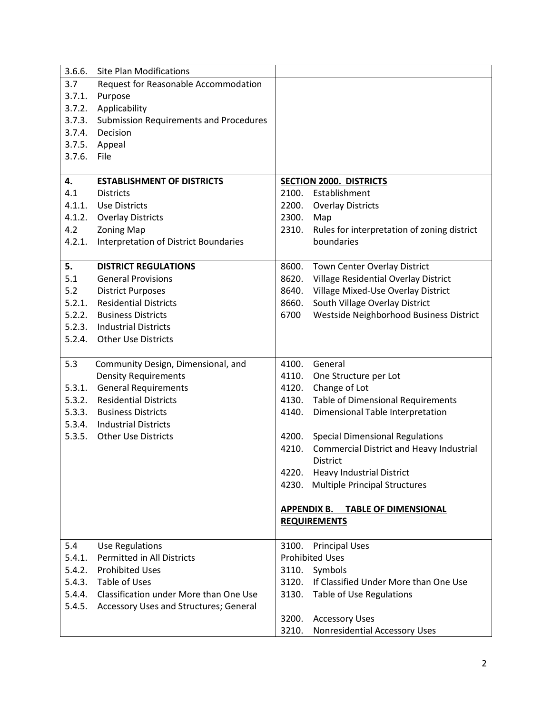| 3.6.6. | <b>Site Plan Modifications</b>                |       |                                                   |
|--------|-----------------------------------------------|-------|---------------------------------------------------|
| 3.7    | Request for Reasonable Accommodation          |       |                                                   |
| 3.7.1. | Purpose                                       |       |                                                   |
| 3.7.2. | Applicability                                 |       |                                                   |
| 3.7.3. | <b>Submission Requirements and Procedures</b> |       |                                                   |
| 3.7.4. | Decision                                      |       |                                                   |
|        | 3.7.5. Appeal                                 |       |                                                   |
| 3.7.6. | File                                          |       |                                                   |
|        |                                               |       |                                                   |
| 4.     | <b>ESTABLISHMENT OF DISTRICTS</b>             |       | <b>SECTION 2000. DISTRICTS</b>                    |
| 4.1    | <b>Districts</b>                              | 2100. | Establishment                                     |
| 4.1.1. | <b>Use Districts</b>                          | 2200. | <b>Overlay Districts</b>                          |
| 4.1.2. | <b>Overlay Districts</b>                      | 2300. | Map                                               |
| 4.2    | <b>Zoning Map</b>                             | 2310. | Rules for interpretation of zoning district       |
| 4.2.1. | Interpretation of District Boundaries         |       | boundaries                                        |
|        |                                               |       |                                                   |
| 5.     | <b>DISTRICT REGULATIONS</b>                   | 8600. | Town Center Overlay District                      |
| 5.1    | <b>General Provisions</b>                     | 8620. | Village Residential Overlay District              |
| 5.2    | <b>District Purposes</b>                      | 8640. | Village Mixed-Use Overlay District                |
| 5.2.1. | <b>Residential Districts</b>                  | 8660. | South Village Overlay District                    |
| 5.2.2. | <b>Business Districts</b>                     | 6700  | Westside Neighborhood Business District           |
|        | 5.2.3. Industrial Districts                   |       |                                                   |
| 5.2.4. | <b>Other Use Districts</b>                    |       |                                                   |
|        |                                               |       |                                                   |
| 5.3    | Community Design, Dimensional, and            | 4100. | General                                           |
|        | <b>Density Requirements</b>                   | 4110. | One Structure per Lot                             |
| 5.3.1. | <b>General Requirements</b>                   | 4120. | Change of Lot                                     |
| 5.3.2. | <b>Residential Districts</b>                  | 4130. | <b>Table of Dimensional Requirements</b>          |
| 5.3.3. | <b>Business Districts</b>                     | 4140. | Dimensional Table Interpretation                  |
|        | 5.3.4. Industrial Districts                   |       |                                                   |
| 5.3.5. | <b>Other Use Districts</b>                    | 4200. | <b>Special Dimensional Regulations</b>            |
|        |                                               | 4210. | <b>Commercial District and Heavy Industrial</b>   |
|        |                                               |       | <b>District</b>                                   |
|        |                                               | 4220. | <b>Heavy Industrial District</b>                  |
|        |                                               | 4230. | <b>Multiple Principal Structures</b>              |
|        |                                               |       |                                                   |
|        |                                               |       | <b>APPENDIX B.</b><br><b>TABLE OF DIMENSIONAL</b> |
|        |                                               |       | <b>REQUIREMENTS</b>                               |
|        |                                               |       |                                                   |
| 5.4    | <b>Use Regulations</b>                        | 3100. | <b>Principal Uses</b>                             |
| 5.4.1. | Permitted in All Districts                    |       | <b>Prohibited Uses</b>                            |
| 5.4.2. | <b>Prohibited Uses</b>                        | 3110. | Symbols                                           |
| 5.4.3. | Table of Uses                                 | 3120. | If Classified Under More than One Use             |
| 5.4.4. | Classification under More than One Use        | 3130. | Table of Use Regulations                          |
| 5.4.5. | Accessory Uses and Structures; General        |       |                                                   |
|        |                                               | 3200. | <b>Accessory Uses</b>                             |
|        |                                               | 3210. | Nonresidential Accessory Uses                     |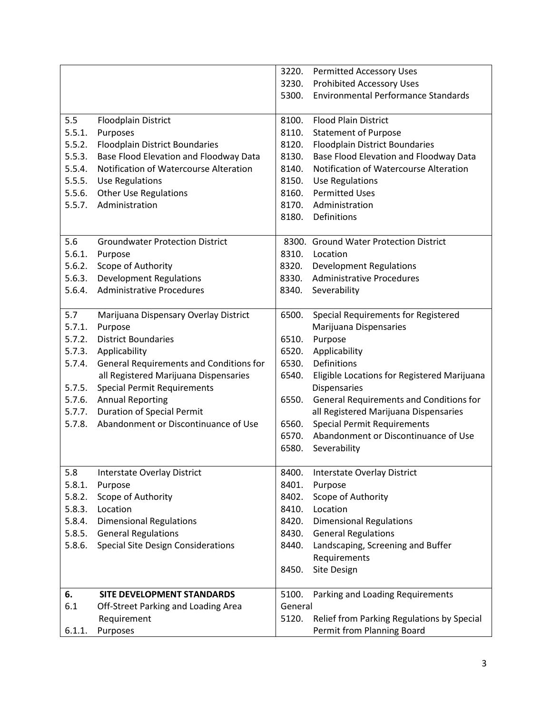|        |                                           |         | 3220. Permitted Accessory Uses              |
|--------|-------------------------------------------|---------|---------------------------------------------|
|        |                                           | 3230.   | <b>Prohibited Accessory Uses</b>            |
|        |                                           | 5300.   | <b>Environmental Performance Standards</b>  |
|        |                                           |         |                                             |
| 5.5    | <b>Floodplain District</b>                | 8100.   | <b>Flood Plain District</b>                 |
| 5.5.1. | Purposes                                  | 8110.   | <b>Statement of Purpose</b>                 |
| 5.5.2. | <b>Floodplain District Boundaries</b>     | 8120.   | <b>Floodplain District Boundaries</b>       |
| 5.5.3. | Base Flood Elevation and Floodway Data    | 8130.   | Base Flood Elevation and Floodway Data      |
| 5.5.4. | Notification of Watercourse Alteration    | 8140.   | Notification of Watercourse Alteration      |
| 5.5.5. | <b>Use Regulations</b>                    | 8150.   | <b>Use Regulations</b>                      |
| 5.5.6. | <b>Other Use Regulations</b>              | 8160.   | <b>Permitted Uses</b>                       |
| 5.5.7. | Administration                            | 8170.   | Administration                              |
|        |                                           | 8180.   | Definitions                                 |
|        |                                           |         |                                             |
| 5.6    | <b>Groundwater Protection District</b>    |         | 8300. Ground Water Protection District      |
| 5.6.1. | Purpose                                   | 8310.   | Location                                    |
| 5.6.2. | Scope of Authority                        | 8320.   | <b>Development Regulations</b>              |
| 5.6.3. | <b>Development Regulations</b>            | 8330.   | <b>Administrative Procedures</b>            |
| 5.6.4. | <b>Administrative Procedures</b>          | 8340.   | Severability                                |
|        |                                           |         |                                             |
| 5.7    | Marijuana Dispensary Overlay District     | 6500.   | Special Requirements for Registered         |
| 5.7.1. | Purpose                                   |         | Marijuana Dispensaries                      |
| 5.7.2. | <b>District Boundaries</b>                | 6510.   | Purpose                                     |
| 5.7.3. | Applicability                             | 6520.   | Applicability                               |
| 5.7.4. | General Requirements and Conditions for   | 6530.   | Definitions                                 |
|        | all Registered Marijuana Dispensaries     | 6540.   | Eligible Locations for Registered Marijuana |
| 5.7.5. | <b>Special Permit Requirements</b>        |         | <b>Dispensaries</b>                         |
| 5.7.6. | <b>Annual Reporting</b>                   | 6550.   | General Requirements and Conditions for     |
| 5.7.7. | <b>Duration of Special Permit</b>         |         | all Registered Marijuana Dispensaries       |
| 5.7.8. | Abandonment or Discontinuance of Use      | 6560.   | <b>Special Permit Requirements</b>          |
|        |                                           | 6570.   | Abandonment or Discontinuance of Use        |
|        |                                           | 6580.   | Severability                                |
|        |                                           |         |                                             |
| 5.8    | Interstate Overlay District               | 8400.   | Interstate Overlay District                 |
| 5.8.1. | Purpose                                   | 8401.   | Purpose                                     |
| 5.8.2. | Scope of Authority                        | 8402.   | Scope of Authority                          |
| 5.8.3. | Location                                  | 8410.   | Location                                    |
| 5.8.4. | <b>Dimensional Regulations</b>            | 8420.   | <b>Dimensional Regulations</b>              |
| 5.8.5. | <b>General Regulations</b>                | 8430.   | <b>General Regulations</b>                  |
| 5.8.6. | <b>Special Site Design Considerations</b> | 8440.   | Landscaping, Screening and Buffer           |
|        |                                           |         | Requirements                                |
|        |                                           | 8450.   | Site Design                                 |
|        |                                           |         |                                             |
| 6.     | SITE DEVELOPMENT STANDARDS                | 5100.   | Parking and Loading Requirements            |
| 6.1    | Off-Street Parking and Loading Area       | General |                                             |
|        | Requirement                               | 5120.   | Relief from Parking Regulations by Special  |
| 6.1.1. | Purposes                                  |         | Permit from Planning Board                  |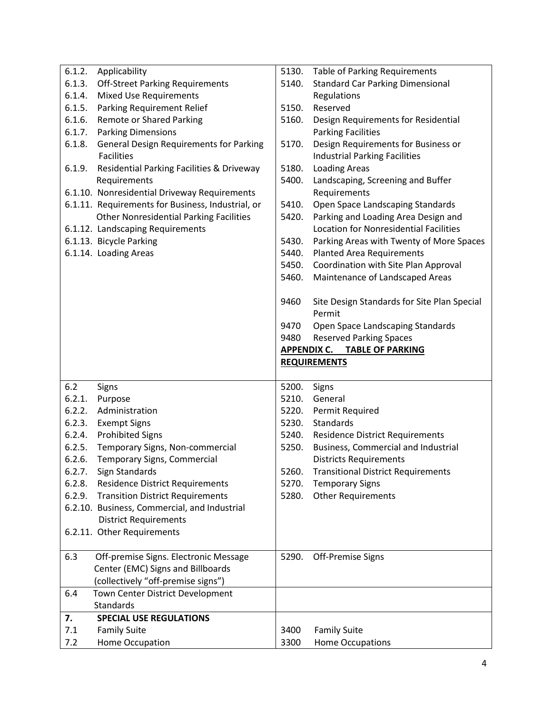| 6.1.2.           | Applicability                                                                           | 5130. | Table of Parking Requirements                                               |
|------------------|-----------------------------------------------------------------------------------------|-------|-----------------------------------------------------------------------------|
| 6.1.3.           | <b>Off-Street Parking Requirements</b>                                                  | 5140. | <b>Standard Car Parking Dimensional</b>                                     |
| 6.1.4.           | <b>Mixed Use Requirements</b>                                                           |       | Regulations                                                                 |
| 6.1.5.           | Parking Requirement Relief                                                              | 5150. | Reserved                                                                    |
| 6.1.6.           | Remote or Shared Parking                                                                | 5160. | Design Requirements for Residential                                         |
| 6.1.7.           | <b>Parking Dimensions</b>                                                               |       | <b>Parking Facilities</b>                                                   |
| 6.1.8.           | <b>General Design Requirements for Parking</b><br><b>Facilities</b>                     | 5170. | Design Requirements for Business or<br><b>Industrial Parking Facilities</b> |
| 6.1.9.           | Residential Parking Facilities & Driveway                                               | 5180. | <b>Loading Areas</b>                                                        |
|                  | Requirements                                                                            | 5400. | Landscaping, Screening and Buffer                                           |
|                  | 6.1.10. Nonresidential Driveway Requirements                                            |       | Requirements                                                                |
|                  | 6.1.11. Requirements for Business, Industrial, or                                       | 5410. | Open Space Landscaping Standards                                            |
|                  | <b>Other Nonresidential Parking Facilities</b>                                          | 5420. | Parking and Loading Area Design and                                         |
|                  | 6.1.12. Landscaping Requirements                                                        |       | <b>Location for Nonresidential Facilities</b>                               |
|                  | 6.1.13. Bicycle Parking                                                                 | 5430. | Parking Areas with Twenty of More Spaces                                    |
|                  | 6.1.14. Loading Areas                                                                   | 5440. | <b>Planted Area Requirements</b>                                            |
|                  |                                                                                         | 5450. | Coordination with Site Plan Approval                                        |
|                  |                                                                                         | 5460. | Maintenance of Landscaped Areas                                             |
|                  |                                                                                         |       |                                                                             |
|                  |                                                                                         | 9460  | Site Design Standards for Site Plan Special<br>Permit                       |
|                  |                                                                                         | 9470  | Open Space Landscaping Standards                                            |
|                  |                                                                                         | 9480  | <b>Reserved Parking Spaces</b>                                              |
|                  |                                                                                         |       | APPENDIX C. TABLE OF PARKING                                                |
|                  |                                                                                         |       | <b>REQUIREMENTS</b>                                                         |
|                  |                                                                                         |       |                                                                             |
|                  |                                                                                         |       |                                                                             |
| 6.2              |                                                                                         | 5200. | Signs                                                                       |
| 6.2.1.           | Signs<br>Purpose                                                                        | 5210. | General                                                                     |
| 6.2.2.           | Administration                                                                          | 5220. |                                                                             |
| 6.2.3.           |                                                                                         | 5230. | Permit Required<br>Standards                                                |
| 6.2.4.           | <b>Exempt Signs</b>                                                                     | 5240. |                                                                             |
| 6.2.5.           | <b>Prohibited Signs</b>                                                                 | 5250. | <b>Residence District Requirements</b>                                      |
|                  | Temporary Signs, Non-commercial                                                         |       | Business, Commercial and Industrial                                         |
| 6.2.6.<br>6.2.7. | Temporary Signs, Commercial<br>Sign Standards                                           | 5260. | <b>Districts Requirements</b><br><b>Transitional District Requirements</b>  |
| 6.2.8.           | <b>Residence District Requirements</b>                                                  | 5270. | <b>Temporary Signs</b>                                                      |
| 6.2.9.           |                                                                                         | 5280. |                                                                             |
|                  | <b>Transition District Requirements</b><br>6.2.10. Business, Commercial, and Industrial |       | <b>Other Requirements</b>                                                   |
|                  | <b>District Requirements</b>                                                            |       |                                                                             |
|                  | 6.2.11. Other Requirements                                                              |       |                                                                             |
|                  |                                                                                         |       |                                                                             |
| 6.3              | Off-premise Signs. Electronic Message                                                   | 5290. | Off-Premise Signs                                                           |
|                  | Center (EMC) Signs and Billboards                                                       |       |                                                                             |
|                  | (collectively "off-premise signs")                                                      |       |                                                                             |
| 6.4              | Town Center District Development                                                        |       |                                                                             |
|                  | Standards                                                                               |       |                                                                             |
| 7.               | <b>SPECIAL USE REGULATIONS</b>                                                          |       |                                                                             |
| 7.1              | <b>Family Suite</b>                                                                     | 3400  | <b>Family Suite</b>                                                         |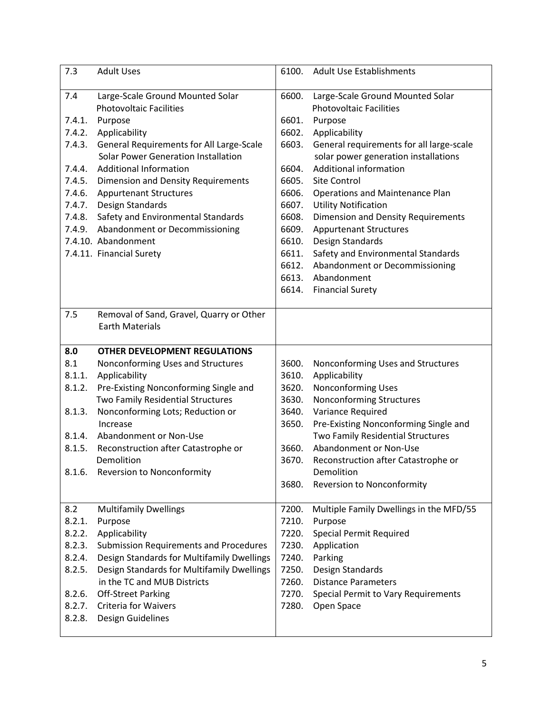| 7.3              | <b>Adult Uses</b>                                                  | 6100. | <b>Adult Use Establishments</b>           |
|------------------|--------------------------------------------------------------------|-------|-------------------------------------------|
| 7.4              | Large-Scale Ground Mounted Solar                                   | 6600. | Large-Scale Ground Mounted Solar          |
|                  | <b>Photovoltaic Facilities</b>                                     |       | <b>Photovoltaic Facilities</b>            |
| 7.4.1.           | Purpose                                                            | 6601. | Purpose                                   |
| 7.4.2.           | Applicability                                                      | 6602. | Applicability                             |
| 7.4.3.           | General Requirements for All Large-Scale                           | 6603. | General requirements for all large-scale  |
|                  | <b>Solar Power Generation Installation</b>                         |       | solar power generation installations      |
| 7.4.4.           | <b>Additional Information</b>                                      | 6604. | Additional information                    |
| 7.4.5.           | <b>Dimension and Density Requirements</b>                          | 6605. | <b>Site Control</b>                       |
| 7.4.6.           | <b>Appurtenant Structures</b>                                      | 6606. | <b>Operations and Maintenance Plan</b>    |
| 7.4.7.           | Design Standards                                                   | 6607. | <b>Utility Notification</b>               |
| 7.4.8.           | Safety and Environmental Standards                                 | 6608. | <b>Dimension and Density Requirements</b> |
|                  | 7.4.9. Abandonment or Decommissioning                              | 6609. | <b>Appurtenant Structures</b>             |
|                  | 7.4.10. Abandonment                                                | 6610. | Design Standards                          |
|                  | 7.4.11. Financial Surety                                           | 6611. | Safety and Environmental Standards        |
|                  |                                                                    | 6612. | Abandonment or Decommissioning            |
|                  |                                                                    | 6613. | Abandonment                               |
|                  |                                                                    | 6614. | <b>Financial Surety</b>                   |
| 7.5              | Removal of Sand, Gravel, Quarry or Other<br><b>Earth Materials</b> |       |                                           |
|                  |                                                                    |       |                                           |
| 8.0              | <b>OTHER DEVELOPMENT REGULATIONS</b>                               |       |                                           |
| 8.1              | Nonconforming Uses and Structures                                  | 3600. | Nonconforming Uses and Structures         |
| 8.1.1.           | Applicability                                                      | 3610. | Applicability                             |
| 8.1.2.           | Pre-Existing Nonconforming Single and                              | 3620. | Nonconforming Uses                        |
|                  | Two Family Residential Structures                                  | 3630. | Nonconforming Structures                  |
| 8.1.3.           | Nonconforming Lots; Reduction or                                   | 3640. | Variance Required                         |
|                  | Increase                                                           | 3650. | Pre-Existing Nonconforming Single and     |
| 8.1.4.           | Abandonment or Non-Use                                             |       | Two Family Residential Structures         |
| 8.1.5.           | Reconstruction after Catastrophe or                                | 3660. | Abandonment or Non-Use                    |
|                  | Demolition                                                         | 3670. | Reconstruction after Catastrophe or       |
| 8.1.6.           | Reversion to Nonconformity                                         |       | Demolition                                |
|                  |                                                                    | 3680. | <b>Reversion to Nonconformity</b>         |
| 8.2              | <b>Multifamily Dwellings</b>                                       | 7200. | Multiple Family Dwellings in the MFD/55   |
| 8.2.1.           | Purpose                                                            | 7210. | Purpose                                   |
| 8.2.2.           | Applicability                                                      | 7220. | <b>Special Permit Required</b>            |
| 8.2.3.           | Submission Requirements and Procedures                             | 7230. | Application                               |
| 8.2.4.           | Design Standards for Multifamily Dwellings                         | 7240. | Parking                                   |
| 8.2.5.           | Design Standards for Multifamily Dwellings                         | 7250. | Design Standards                          |
|                  | in the TC and MUB Districts                                        | 7260. | <b>Distance Parameters</b>                |
| 8.2.6.           | <b>Off-Street Parking</b>                                          | 7270. | Special Permit to Vary Requirements       |
| 8.2.7.<br>8.2.8. | <b>Criteria for Waivers</b><br>Design Guidelines                   | 7280. | Open Space                                |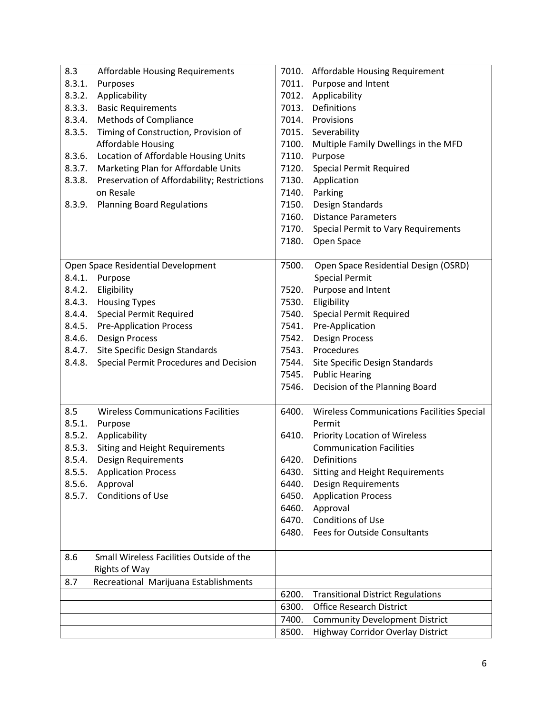| 8.3    | Affordable Housing Requirements             |       | 7010. Affordable Housing Requirement              |
|--------|---------------------------------------------|-------|---------------------------------------------------|
| 8.3.1. | Purposes                                    | 7011. | Purpose and Intent                                |
| 8.3.2. | Applicability                               | 7012. | Applicability                                     |
| 8.3.3. | <b>Basic Requirements</b>                   | 7013. | Definitions                                       |
| 8.3.4. | Methods of Compliance                       | 7014. | Provisions                                        |
| 8.3.5. | Timing of Construction, Provision of        | 7015. | Severability                                      |
|        | <b>Affordable Housing</b>                   | 7100. | Multiple Family Dwellings in the MFD              |
| 8.3.6. | Location of Affordable Housing Units        | 7110. | Purpose                                           |
| 8.3.7. | Marketing Plan for Affordable Units         | 7120. | <b>Special Permit Required</b>                    |
| 8.3.8. | Preservation of Affordability; Restrictions | 7130. | Application                                       |
|        | on Resale                                   | 7140. | Parking                                           |
| 8.3.9. | <b>Planning Board Regulations</b>           | 7150. | Design Standards                                  |
|        |                                             | 7160. | <b>Distance Parameters</b>                        |
|        |                                             | 7170. | Special Permit to Vary Requirements               |
|        |                                             | 7180. | Open Space                                        |
|        |                                             |       |                                                   |
|        | Open Space Residential Development          | 7500. | Open Space Residential Design (OSRD)              |
|        | 8.4.1. Purpose                              |       | <b>Special Permit</b>                             |
|        | 8.4.2. Eligibility                          | 7520. | Purpose and Intent                                |
| 8.4.3. | <b>Housing Types</b>                        | 7530. | Eligibility                                       |
| 8.4.4. | <b>Special Permit Required</b>              | 7540. | <b>Special Permit Required</b>                    |
| 8.4.5. | <b>Pre-Application Process</b>              | 7541. | Pre-Application                                   |
| 8.4.6. | <b>Design Process</b>                       | 7542. | <b>Design Process</b>                             |
| 8.4.7. | Site Specific Design Standards              | 7543. | Procedures                                        |
| 8.4.8. | Special Permit Procedures and Decision      | 7544. | Site Specific Design Standards                    |
|        |                                             | 7545. | <b>Public Hearing</b>                             |
|        |                                             | 7546. | Decision of the Planning Board                    |
|        |                                             |       |                                                   |
| 8.5    | <b>Wireless Communications Facilities</b>   | 6400. | <b>Wireless Communications Facilities Special</b> |
| 8.5.1. | Purpose                                     |       | Permit                                            |
| 8.5.2. | Applicability                               | 6410. | <b>Priority Location of Wireless</b>              |
| 8.5.3. | Siting and Height Requirements              |       | <b>Communication Facilities</b>                   |
| 8.5.4. | Design Requirements                         | 6420. | Definitions                                       |
| 8.5.5. | <b>Application Process</b>                  | 6430. | Sitting and Height Requirements                   |
| 8.5.6. | Approval                                    | 6440. | Design Requirements                               |
|        | 8.5.7. Conditions of Use                    | 6450. | <b>Application Process</b>                        |
|        |                                             | 6460. | Approval                                          |
|        |                                             | 6470. | Conditions of Use                                 |
|        |                                             | 6480. | Fees for Outside Consultants                      |
|        |                                             |       |                                                   |
| 8.6    | Small Wireless Facilities Outside of the    |       |                                                   |
|        | <b>Rights of Way</b>                        |       |                                                   |
| 8.7    | Recreational Marijuana Establishments       |       |                                                   |
|        |                                             | 6200. | <b>Transitional District Regulations</b>          |
|        |                                             | 6300. | <b>Office Research District</b>                   |
|        |                                             | 7400. | <b>Community Development District</b>             |
|        |                                             | 8500. | Highway Corridor Overlay District                 |